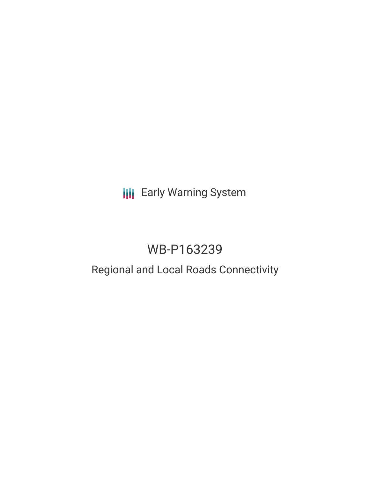# **III** Early Warning System

# WB-P163239

## Regional and Local Roads Connectivity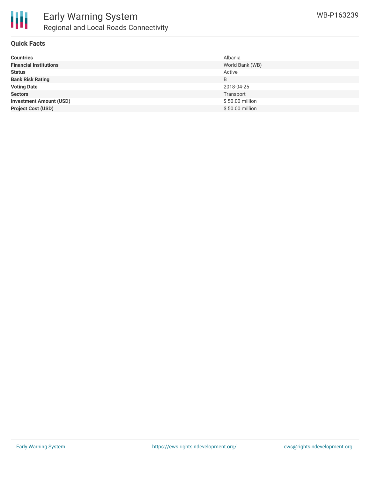

### **Quick Facts**

| <b>Countries</b>               | Albania         |
|--------------------------------|-----------------|
| <b>Financial Institutions</b>  | World Bank (WB) |
| <b>Status</b>                  | Active          |
| <b>Bank Risk Rating</b>        | B               |
| <b>Voting Date</b>             | 2018-04-25      |
| <b>Sectors</b>                 | Transport       |
| <b>Investment Amount (USD)</b> | \$50.00 million |
| <b>Project Cost (USD)</b>      | \$50.00 million |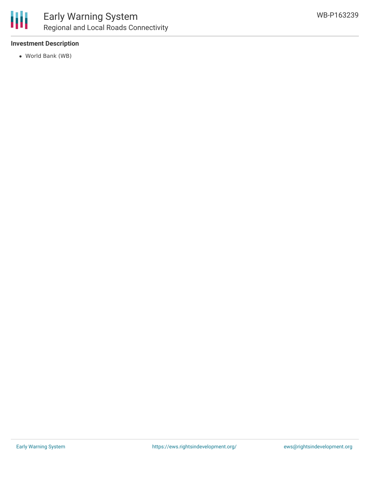

### **Investment Description**

World Bank (WB)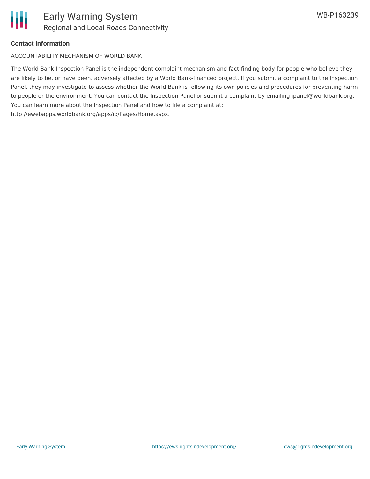

#### **Contact Information**

ACCOUNTABILITY MECHANISM OF WORLD BANK

The World Bank Inspection Panel is the independent complaint mechanism and fact-finding body for people who believe they are likely to be, or have been, adversely affected by a World Bank-financed project. If you submit a complaint to the Inspection Panel, they may investigate to assess whether the World Bank is following its own policies and procedures for preventing harm to people or the environment. You can contact the Inspection Panel or submit a complaint by emailing ipanel@worldbank.org. You can learn more about the Inspection Panel and how to file a complaint at: http://ewebapps.worldbank.org/apps/ip/Pages/Home.aspx.